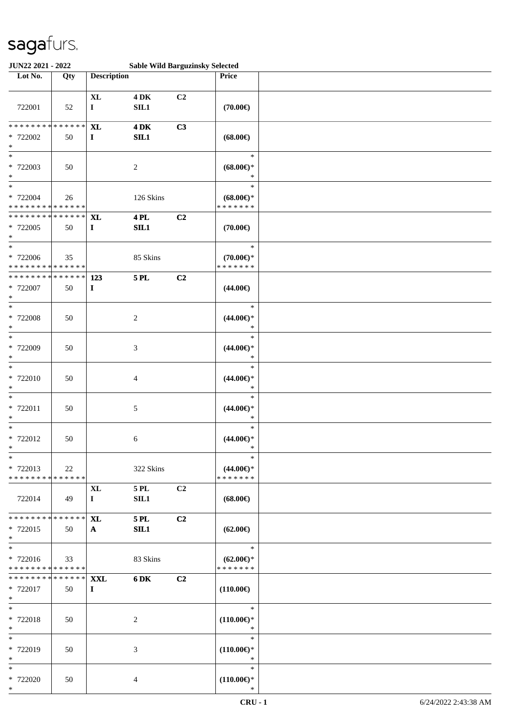| JUN22 2021 - 2022                                           |     |                                   |                         | <b>Sable Wild Barguzinsky Selected</b> |                                                |  |
|-------------------------------------------------------------|-----|-----------------------------------|-------------------------|----------------------------------------|------------------------------------------------|--|
| Lot No.                                                     | Qty | <b>Description</b>                |                         |                                        | Price                                          |  |
| 722001                                                      | 52  | $\bold{X}\bold{L}$<br>$\mathbf I$ | <b>4 DK</b><br>SL1      | C <sub>2</sub>                         | $(70.00\epsilon)$                              |  |
| * * * * * * * * * * * * * *<br>* 722002<br>$\ast$           | 50  | <b>XL</b><br>$\mathbf I$          | $4\,\mathrm{DK}$<br>SL1 | C3                                     | $(68.00\epsilon)$                              |  |
| $\ast$<br>* 722003<br>$\ast$<br>$\overline{\ast}$           | 50  |                                   | $\boldsymbol{2}$        |                                        | $\ast$<br>$(68.00\epsilon)$ *<br>$\ast$        |  |
| * 722004<br>* * * * * * * * * * * * * *                     | 26  |                                   | 126 Skins               |                                        | $\ast$<br>$(68.00\epsilon)$ *<br>* * * * * * * |  |
| * * * * * * * * * * * * * *<br>* 722005<br>$\ast$<br>$\ast$ | 50  | <b>XL</b><br>$\mathbf{I}$         | <b>4 PL</b><br>SL1      | C2                                     | $(70.00\epsilon)$                              |  |
| $* 722006$<br>* * * * * * * * * * * * * *                   | 35  |                                   | 85 Skins                |                                        | $\ast$<br>$(70.00\epsilon)$ *<br>* * * * * * * |  |
| * * * * * * * * * * * * * *<br>* 722007<br>$\ast$           | 50  | 123<br>$\mathbf I$                | <b>5 PL</b>             | C2                                     | $(44.00\epsilon)$                              |  |
| $\ast$<br>* 722008<br>$\ast$                                | 50  |                                   | $\boldsymbol{2}$        |                                        | $\ast$<br>$(44.00\epsilon)$ *<br>$\ast$        |  |
| $\ast$<br>* 722009<br>$\ast$                                | 50  |                                   | $\mathfrak{Z}$          |                                        | $\ast$<br>$(44.00\epsilon)$ *<br>$\ast$        |  |
| $\ast$<br>* 722010<br>$\ast$                                | 50  |                                   | 4                       |                                        | $\ast$<br>$(44.00\epsilon)$ *<br>$\ast$        |  |
| $\ast$<br>* 722011<br>$\ast$                                | 50  |                                   | 5                       |                                        | $\ast$<br>$(44.00ε)$ *<br>$\ast$               |  |
| $\ast$<br>$* 722012$<br>$\star$<br>$*$                      | 50  |                                   | 6                       |                                        | $\ast$<br>$(44.00\epsilon)$ *                  |  |
| * 722013<br>* * * * * * * * * * * * * *                     | 22  |                                   | 322 Skins               |                                        | $\ast$<br>$(44.00\epsilon)$ *<br>* * * * * * * |  |
| 722014                                                      | 49  | $\mathbf{XL}$<br>$\mathbf{I}$     | 5 PL<br>SIL1            | C2                                     | $(68.00\epsilon)$                              |  |
| * * * * * * * * * * * * * *<br>* 722015<br>$*$              | 50  | <b>XL</b><br>$\mathbf{A}$         | <b>5 PL</b><br>SL1      | C2                                     | $(62.00\epsilon)$                              |  |
| $*$<br>* 722016<br>* * * * * * * * * * * * * *              | 33  |                                   | 83 Skins                |                                        | $\ast$<br>$(62.00\epsilon)$ *<br>* * * * * * * |  |
| * * * * * * * * * * * * * * *<br>* 722017<br>$*$            | 50  | <b>XXL</b><br>$\mathbf{I}$        | 6 DK                    | C2                                     | $(110.00\epsilon)$                             |  |
| $\ast$<br>* 722018<br>$*$                                   | 50  |                                   | $\overline{c}$          |                                        | $\ast$<br>$(110.00\epsilon)$ *<br>$\ast$       |  |
| $*$<br>* 722019<br>$*$                                      | 50  |                                   | 3                       |                                        | $\ast$<br>$(110.00\epsilon)$ *<br>$\ast$       |  |
| $\ast$<br>* 722020<br>$*$                                   | 50  |                                   | $\overline{4}$          |                                        | $\ast$<br>$(110.00\epsilon)$ *<br>∗            |  |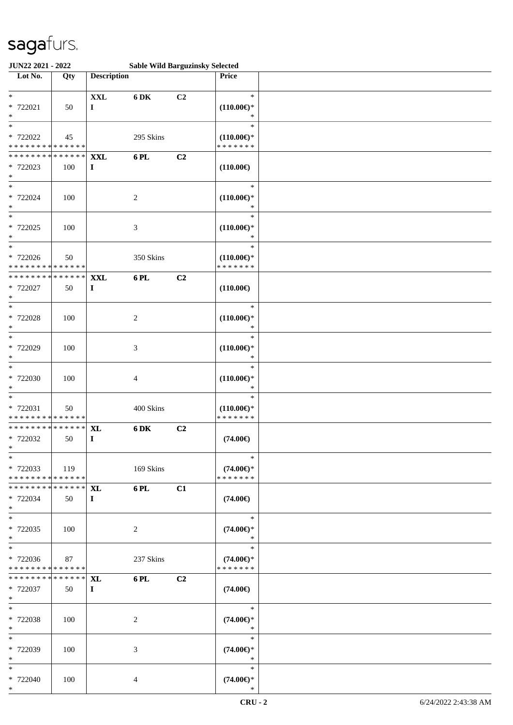| JUN22 2021 - 2022                          |                                        |                    | <b>Sable Wild Barguzinsky Selected</b> |    |                                       |  |
|--------------------------------------------|----------------------------------------|--------------------|----------------------------------------|----|---------------------------------------|--|
| Lot No.                                    | Qty                                    | <b>Description</b> |                                        |    | <b>Price</b>                          |  |
|                                            |                                        |                    |                                        |    |                                       |  |
| $\ast$                                     |                                        | <b>XXL</b>         | 6 DK                                   | C2 | $\ast$                                |  |
| * 722021                                   | 50                                     | $\bf{I}$           |                                        |    | $(110.00\epsilon)$ *                  |  |
| $\ast$                                     |                                        |                    |                                        |    | $\ast$                                |  |
| $\ast$                                     |                                        |                    |                                        |    | $\ast$                                |  |
| * 722022                                   | 45                                     |                    | 295 Skins                              |    | $(110.00\epsilon)$ *                  |  |
| * * * * * * * * * * * * * *                |                                        |                    |                                        |    | * * * * * * *                         |  |
| * * * * * * * *                            | * * * * * *                            | <b>XXL</b>         | 6 PL                                   | C2 |                                       |  |
| * 722023                                   | 100                                    | $\bf{I}$           |                                        |    | $(110.00\epsilon)$                    |  |
| $\ast$                                     |                                        |                    |                                        |    |                                       |  |
| $*$                                        |                                        |                    |                                        |    | $\ast$                                |  |
| * 722024                                   | 100                                    |                    | 2                                      |    | $(110.00\epsilon)$ *                  |  |
| $\ast$                                     |                                        |                    |                                        |    | $\ast$                                |  |
| $\overline{\phantom{0}}$                   |                                        |                    |                                        |    | $\ast$                                |  |
| $* 722025$                                 | 100                                    |                    | $\mathfrak{Z}$                         |    | $(110.00\epsilon)$ *                  |  |
| $\ast$                                     |                                        |                    |                                        |    | $\ast$                                |  |
| $\ast$                                     |                                        |                    |                                        |    | $\ast$                                |  |
| $* 722026$                                 | 50                                     |                    | 350 Skins                              |    | $(110.00\epsilon)$ *                  |  |
| * * * * * * * *                            | * * * * * *                            |                    |                                        |    | * * * * * * *                         |  |
| * * * * * * * *                            | * * * * * *                            | <b>XXL</b>         | 6PL                                    | C2 |                                       |  |
| * 722027                                   | 50                                     | $\mathbf I$        |                                        |    | $(110.00\epsilon)$                    |  |
| $\ast$                                     |                                        |                    |                                        |    |                                       |  |
| $\ast$                                     |                                        |                    |                                        |    | $\ast$                                |  |
| * 722028                                   | 100                                    |                    | $\overline{c}$                         |    | $(110.00\epsilon)$ *                  |  |
| $\ast$                                     |                                        |                    |                                        |    | ∗                                     |  |
| $\ast$                                     |                                        |                    |                                        |    | $\ast$                                |  |
| * 722029                                   | 100                                    |                    | 3                                      |    | $(110.00\epsilon)$ *                  |  |
| $\ast$                                     |                                        |                    |                                        |    | $\ast$                                |  |
| $\ast$                                     |                                        |                    |                                        |    | $\ast$                                |  |
| * 722030                                   | 100                                    |                    | 4                                      |    | $(110.00\epsilon)$ *                  |  |
| $\ast$<br>$\ast$                           |                                        |                    |                                        |    | $\ast$<br>$\ast$                      |  |
|                                            |                                        |                    |                                        |    |                                       |  |
| * 722031<br>* * * * * * * * * * * * * *    | 50                                     |                    | 400 Skins                              |    | $(110.00\epsilon)$ *<br>* * * * * * * |  |
| * * * * * * * * * * * * * *                |                                        |                    |                                        |    |                                       |  |
| * 722032                                   |                                        | <b>XL</b>          | 6 DK                                   | C2 |                                       |  |
| $*$ $-$                                    | 50                                     | $\bf{I}$           |                                        |    | $(74.00\epsilon)$                     |  |
| $*$                                        |                                        |                    |                                        |    | $\ast$                                |  |
| * 722033                                   | 119                                    |                    | 169 Skins                              |    | $(74.00\epsilon)$ *                   |  |
| * * * * * * * * <mark>* * * * * * *</mark> |                                        |                    |                                        |    | * * * * * * *                         |  |
| * * * * * * * *                            | * * * * * * *                          | <b>XL</b>          | 6 PL                                   | C1 |                                       |  |
| * 722034                                   | 50                                     | $\bf{I}$           |                                        |    | $(74.00\epsilon)$                     |  |
| $*$                                        |                                        |                    |                                        |    |                                       |  |
| $*$                                        |                                        |                    |                                        |    | $\ast$                                |  |
| * 722035                                   | 100                                    |                    | 2                                      |    | $(74.00\epsilon)$ *                   |  |
| $*$                                        |                                        |                    |                                        |    | $\ast$                                |  |
| $*$                                        |                                        |                    |                                        |    | $\ast$                                |  |
| * 722036                                   | 87                                     |                    | 237 Skins                              |    | $(74.00\epsilon)$ *                   |  |
| * * * * * * * * * * * * * * *              |                                        |                    |                                        |    | * * * * * * *                         |  |
| * * * * * * * *                            | $\overline{******}\, \,{\bf X}{\bf L}$ |                    | 6 PL                                   | C2 |                                       |  |
| * 722037                                   | 50                                     | $\bf{I}$           |                                        |    | $(74.00\epsilon)$                     |  |
| $*$                                        |                                        |                    |                                        |    |                                       |  |
| $*$                                        |                                        |                    |                                        |    | $\ast$                                |  |
| * 722038                                   | 100                                    |                    | 2                                      |    | $(74.00\epsilon)$ *                   |  |
| $*$                                        |                                        |                    |                                        |    | $\ast$                                |  |
| $*$                                        |                                        |                    |                                        |    | $\ast$                                |  |
| * 722039                                   | 100                                    |                    | 3                                      |    | $(74.00\epsilon)$ *                   |  |
| $*$                                        |                                        |                    |                                        |    | $\ast$                                |  |
| $*$ $*$                                    |                                        |                    |                                        |    | $\ast$                                |  |
| * 722040                                   | 100                                    |                    | $\overline{4}$                         |    | $(74.00\epsilon)$ *                   |  |
| $*$                                        |                                        |                    |                                        |    | ∗                                     |  |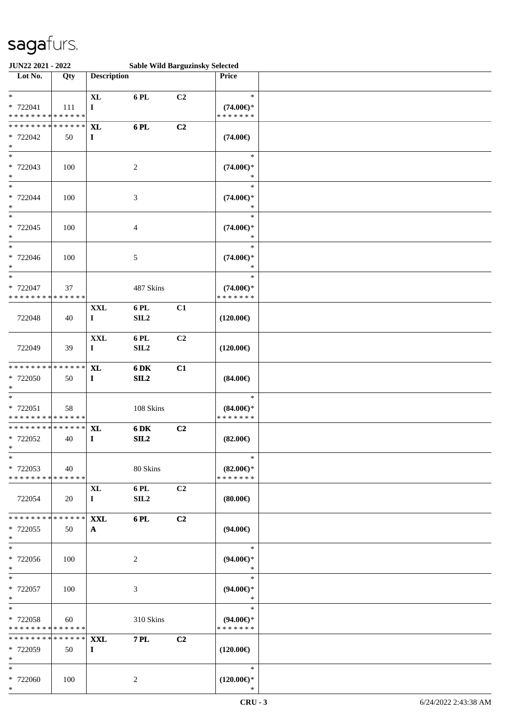| JUN22 2021 - 2022                                          |                   |                                |                          | <b>Sable Wild Barguzinsky Selected</b> |                                                   |  |
|------------------------------------------------------------|-------------------|--------------------------------|--------------------------|----------------------------------------|---------------------------------------------------|--|
| Lot No.                                                    | Qty               | <b>Description</b>             |                          |                                        | Price                                             |  |
| $\ast$<br>* 722041<br>* * * * * * * * * * * * * *          | 111               | $\bold{X}\bold{L}$<br>$\bf{I}$ | 6 PL                     | C2                                     | $\ast$<br>$(74.00\epsilon)$ *<br>* * * * * * *    |  |
| * * * * * * * * * * * * * * *<br>* 722042<br>$\ast$<br>$*$ | 50                | <b>XL</b><br>$\mathbf I$       | 6 PL                     | C2                                     | $(74.00\epsilon)$                                 |  |
| * 722043<br>$\ast$<br>$*$                                  | 100               |                                | 2                        |                                        | $\ast$<br>$(74.00\epsilon)$ *<br>$\ast$           |  |
| * 722044<br>$\ast$<br>$\overline{\ast}$                    | 100               |                                | $\mathfrak{Z}$           |                                        | $\ast$<br>$(74.00\epsilon)$ *<br>$\ast$<br>$\ast$ |  |
| $* 722045$<br>$\ast$<br>$\ast$                             | 100               |                                | $\overline{4}$           |                                        | $(74.00\epsilon)$ *<br>$\ast$<br>$\ast$           |  |
| * 722046<br>$\ast$<br>$\ast$                               | 100               |                                | $\sqrt{5}$               |                                        | $(74.00\epsilon)$ *<br>$\ast$<br>$\ast$           |  |
| * 722047<br>* * * * * * * * * * * * * *                    | 37                |                                | 487 Skins                |                                        | $(74.00\epsilon)$ *<br>* * * * * * *              |  |
| 722048                                                     | 40                | <b>XXL</b><br>$\bf{I}$         | 6 PL<br>SL2              | C1                                     | $(120.00\epsilon)$                                |  |
| 722049                                                     | 39                | <b>XXL</b><br>$\bf{I}$         | 6 PL<br>SIL <sub>2</sub> | C2                                     | $(120.00\epsilon)$                                |  |
| * * * * * * * * * * * * * *<br>* 722050<br>$*$             | 50                | $\mathbf{XL}$<br>$\mathbf I$   | 6 DK<br>SL2              | C1                                     | $(84.00\epsilon)$                                 |  |
| $\ast$<br>* 722051<br>* * * * * * * * * * * * * *          | 58                |                                | 108 Skins                |                                        | $\ast$<br>$(84.00\epsilon)$ *<br>* * * * * * *    |  |
| * * * * * * * * * * * * * * *<br>* 722052<br>$*$           | 40                | XL<br>$\bf{I}$                 | 6 DK<br>SL2              | C2                                     | $(82.00\epsilon)$<br>$\ast$                       |  |
| $\ast$<br>* 722053<br>* * * * * * * * * * * * * * *        | 40                |                                | 80 Skins                 |                                        | $(82.00\epsilon)$ *<br>* * * * * * *              |  |
| 722054                                                     | 20                | XL<br>$\mathbf{I}$             | 6 PL<br>SIL <sub>2</sub> | C2                                     | $(80.00\epsilon)$                                 |  |
| * * * * * * * * * * * * * * *<br>* 722055<br>$*$           | 50                | <b>XXL</b><br>$\mathbf{A}$     | 6 PL                     | C2                                     | $(94.00\epsilon)$                                 |  |
| $*$<br>* 722056<br>$*$                                     | 100               |                                | $\overline{c}$           |                                        | $\ast$<br>$(94.00\epsilon)$ *<br>$\ast$           |  |
| $*$<br>* 722057<br>$*$                                     | 100               |                                | 3                        |                                        | $\ast$<br>$(94.00\epsilon)$ *<br>$\ast$           |  |
| $*$<br>* 722058<br>* * * * * * * * * * * * * *             | 60                |                                | 310 Skins                |                                        | $\ast$<br>$(94.00\epsilon)$ *<br>* * * * * * *    |  |
| * * * * * * * *<br>* 722059<br>$*$                         | * * * * * *<br>50 | <b>XXL</b><br>$\bf{I}$         | <b>7 PL</b>              | C2                                     | $(120.00\epsilon)$                                |  |
| $*$<br>* 722060<br>$*$                                     | 100               |                                | 2                        |                                        | $\ast$<br>$(120.00\epsilon)$ *<br>∗               |  |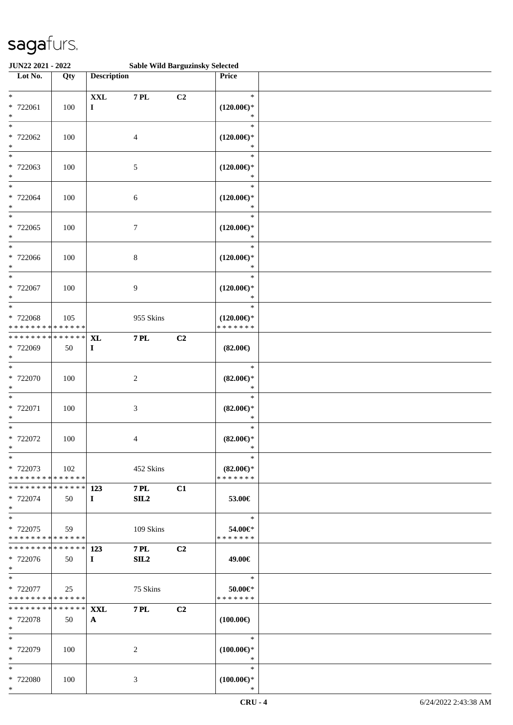| JUN22 2021 - 2022                                 |                   |                               | <b>Sable Wild Barguzinsky Selected</b> |    |                                                 |  |
|---------------------------------------------------|-------------------|-------------------------------|----------------------------------------|----|-------------------------------------------------|--|
| Lot No.                                           | Qty               | <b>Description</b>            |                                        |    | Price                                           |  |
| $\ast$<br>* 722061<br>$\ast$                      | 100               | $\mathbf{XXL}$<br>$\mathbf I$ | <b>7 PL</b>                            | C2 | $\ast$<br>$(120.00\epsilon)$ *<br>$\ast$        |  |
| $\ast$<br>* 722062<br>$\ast$                      | 100               |                               | 4                                      |    | $\ast$<br>$(120.00\epsilon)$ *<br>$\ast$        |  |
| $\overline{\phantom{0}}$<br>* 722063<br>$\ast$    | 100               |                               | 5                                      |    | $\ast$<br>$(120.00\epsilon)$ *<br>*             |  |
| $\ast$<br>* 722064<br>$\ast$                      | 100               |                               | $\sqrt{6}$                             |    | $\ast$<br>$(120.00\epsilon)$ *<br>$\ast$        |  |
| $\ast$<br>$* 722065$<br>$\ast$                    | 100               |                               | $\tau$                                 |    | $\ast$<br>$(120.00\epsilon)$ *<br>$\ast$        |  |
| $*$<br>* 722066<br>$\ast$                         | 100               |                               | $\,8\,$                                |    | $\ast$<br>$(120.00\epsilon)$ *<br>$\ast$        |  |
| $\ast$<br>$* 722067$<br>$\ast$                    | 100               |                               | 9                                      |    | $\ast$<br>$(120.00\epsilon)$ *<br>$\ast$        |  |
| $\ast$<br>* 722068<br>* * * * * * * * * * * * * * | 105               |                               | 955 Skins                              |    | $\ast$<br>$(120.00\epsilon)$ *<br>* * * * * * * |  |
| * * * * * * * *<br>* 722069<br>$\ast$             | * * * * * *<br>50 | <b>XL</b><br>$\mathbf{I}$     | <b>7 PL</b>                            | C2 | $(82.00\epsilon)$                               |  |
| $\ast$<br>* 722070<br>$\ast$                      | 100               |                               | $\boldsymbol{2}$                       |    | $\ast$<br>$(82.00\epsilon)$ *<br>$\ast$         |  |
| $\ast$<br>* 722071<br>$\ast$                      | 100               |                               | $\mathfrak{Z}$                         |    | $\ast$<br>$(82.00\epsilon)$ *<br>$\ast$         |  |
| $\ast$<br>$* 722072$<br>$*$                       | 100               |                               | 4                                      |    | $\ast$<br>$(82.00\epsilon)$ *<br>$\ast$         |  |
| $*$<br>* 722073<br>******** <mark>******</mark>   | 102               |                               | 452 Skins                              |    | $\ast$<br>$(82.00\epsilon)$ *<br>* * * * * * *  |  |
| * * * * * * * * * * * * * * *<br>* 722074<br>$*$  | 50                | 123<br>$\mathbf{I}$           | <b>7 PL</b><br>SL2                     | C1 | 53.00€                                          |  |
| $*$<br>* 722075<br>* * * * * * * * * * * * * * *  | 59                |                               | 109 Skins                              |    | $\ast$<br>54.00€*<br>* * * * * * *              |  |
| ************** 123<br>* 722076<br>$*$             | 50                | $\mathbf{I}$                  | <b>7 PL</b><br>SL2                     | C2 | 49.00€                                          |  |
| $*$<br>* 722077<br>* * * * * * * * * * * * * * *  | 25                |                               | 75 Skins                               |    | $\ast$<br>50.00€*<br>* * * * * * *              |  |
| ************** <b>XXL</b><br>* 722078<br>$*$      | 50                | $\mathbf{A}$                  | <b>7 PL</b>                            | C2 | $(100.00\epsilon)$                              |  |
| $*$<br>* 722079<br>$*$                            | 100               |                               | 2                                      |    | $\ast$<br>$(100.00\epsilon)$ *<br>$\ast$        |  |
| $*$<br>* 722080<br>$*$                            | 100               |                               | 3                                      |    | $\ast$<br>$(100.00€)$ *<br>$\ast$               |  |